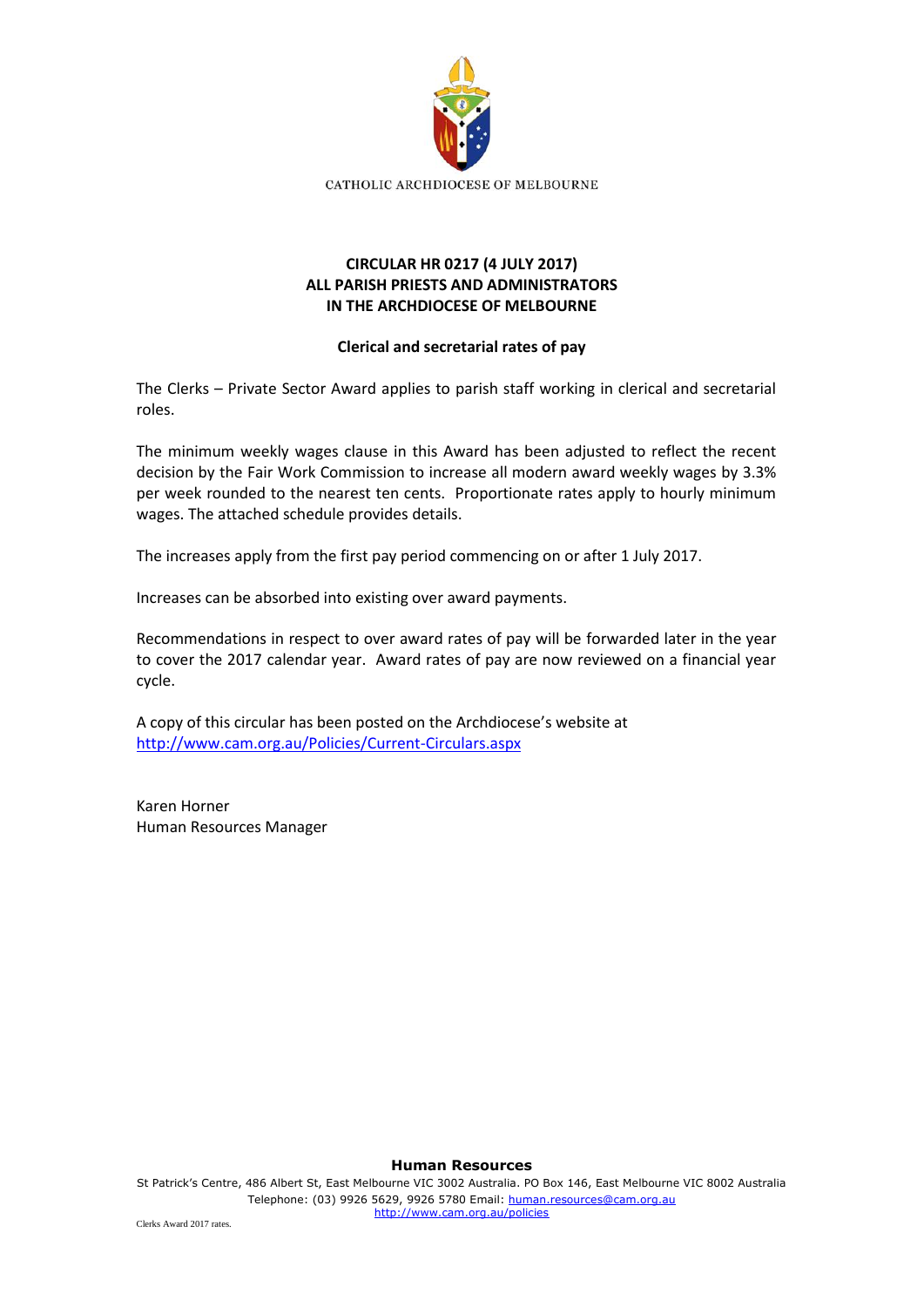

## **CIRCULAR HR 0217 (4 JULY 2017) ALL PARISH PRIESTS AND ADMINISTRATORS IN THE ARCHDIOCESE OF MELBOURNE**

## **Clerical and secretarial rates of pay**

The Clerks – Private Sector Award applies to parish staff working in clerical and secretarial roles.

The minimum weekly wages clause in this Award has been adjusted to reflect the recent decision by the Fair Work Commission to increase all modern award weekly wages by 3.3% per week rounded to the nearest ten cents. Proportionate rates apply to hourly minimum wages. The attached schedule provides details.

The increases apply from the first pay period commencing on or after 1 July 2017.

Increases can be absorbed into existing over award payments.

Recommendations in respect to over award rates of pay will be forwarded later in the year to cover the 2017 calendar year. Award rates of pay are now reviewed on a financial year cycle.

A copy of this circular has been posted on the Archdiocese's website at <http://www.cam.org.au/Policies/Current-Circulars.aspx>

Karen Horner Human Resources Manager

**Human Resources**